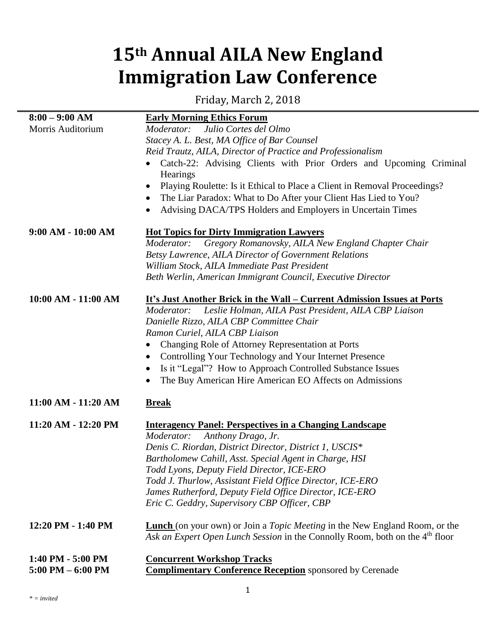## **15th Annual AILA New England Immigration Law Conference**

Friday, March 2, 2018

| $8:00 - 9:00$ AM     | <b>Early Morning Ethics Forum</b>                                                         |
|----------------------|-------------------------------------------------------------------------------------------|
| Morris Auditorium    | Julio Cortes del Olmo<br>Moderator:                                                       |
|                      | Stacey A. L. Best, MA Office of Bar Counsel                                               |
|                      | Reid Trautz, AILA, Director of Practice and Professionalism                               |
|                      | Catch-22: Advising Clients with Prior Orders and Upcoming Criminal<br>Hearings            |
|                      | Playing Roulette: Is it Ethical to Place a Client in Removal Proceedings?<br>$\bullet$    |
|                      | The Liar Paradox: What to Do After your Client Has Lied to You?<br>$\bullet$              |
|                      | Advising DACA/TPS Holders and Employers in Uncertain Times<br>$\bullet$                   |
| $9:00 AM - 10:00 AM$ | <b>Hot Topics for Dirty Immigration Lawyers</b>                                           |
|                      | Gregory Romanovsky, AILA New England Chapter Chair<br>Moderator:                          |
|                      | Betsy Lawrence, AILA Director of Government Relations                                     |
|                      | William Stock, AILA Immediate Past President                                              |
|                      | Beth Werlin, American Immigrant Council, Executive Director                               |
| 10:00 AM - 11:00 AM  | <u>It's Just Another Brick in the Wall – Current Admission Issues at Ports</u>            |
|                      | Leslie Holman, AILA Past President, AILA CBP Liaison<br>Moderator:                        |
|                      | Danielle Rizzo, AILA CBP Committee Chair                                                  |
|                      | Ramon Curiel, AILA CBP Liaison                                                            |
|                      | Changing Role of Attorney Representation at Ports<br>$\bullet$                            |
|                      | Controlling Your Technology and Your Internet Presence<br>$\bullet$                       |
|                      | Is it "Legal"? How to Approach Controlled Substance Issues<br>$\bullet$                   |
|                      | The Buy American Hire American EO Affects on Admissions<br>$\bullet$                      |
| 11:00 AM - 11:20 AM  | <b>Break</b>                                                                              |
|                      |                                                                                           |
| 11:20 AM - 12:20 PM  | <b>Interagency Panel: Perspectives in a Changing Landscape</b>                            |
|                      | Anthony Drago, Jr.<br>Moderator:                                                          |
|                      | Denis C. Riordan, District Director, District 1, USCIS*                                   |
|                      | Bartholomew Cahill, Asst. Special Agent in Charge, HSI                                    |
|                      | Todd Lyons, Deputy Field Director, ICE-ERO                                                |
|                      | Todd J. Thurlow, Assistant Field Office Director, ICE-ERO                                 |
|                      | James Rutherford, Deputy Field Office Director, ICE-ERO                                   |
|                      | Eric C. Geddry, Supervisory CBP Officer, CBP                                              |
| 12:20 PM - 1:40 PM   | <b>Lunch</b> (on your own) or Join a <i>Topic Meeting</i> in the New England Room, or the |
|                      | Ask an Expert Open Lunch Session in the Connolly Room, both on the 4 <sup>th</sup> floor  |
| 1:40 PM - 5:00 PM    | <b>Concurrent Workshop Tracks</b>                                                         |
| $5:00$ PM $-6:00$ PM | <b>Complimentary Conference Reception</b> sponsored by Cerenade                           |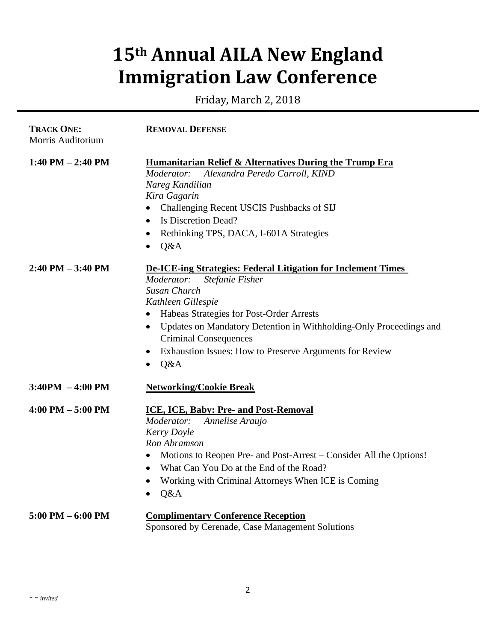## **15th Annual AILA New England Immigration Law Conference**

Friday, March 2, 2018

| <b>TRACK ONE:</b><br>Morris Auditorium | <b>REMOVAL DEFENSE</b>                                                                                                                                                                                                                                                                                                                                                                          |
|----------------------------------------|-------------------------------------------------------------------------------------------------------------------------------------------------------------------------------------------------------------------------------------------------------------------------------------------------------------------------------------------------------------------------------------------------|
| $1:40$ PM $- 2:40$ PM                  | <b>Humanitarian Relief &amp; Alternatives During the Trump Era</b><br>Alexandra Peredo Carroll, KIND<br>Moderator:<br>Nareg Kandilian<br>Kira Gagarin<br>Challenging Recent USCIS Pushbacks of SIJ<br>$\bullet$<br>Is Discretion Dead?<br>$\bullet$<br>Rethinking TPS, DACA, I-601A Strategies<br>$\bullet$<br>Q&A<br>$\bullet$                                                                 |
| $2:40$ PM $-3:40$ PM                   | De-ICE-ing Strategies: Federal Litigation for Inclement Times<br>Moderator:<br>Stefanie Fisher<br>Susan Church<br>Kathleen Gillespie<br>Habeas Strategies for Post-Order Arrests<br>$\bullet$<br>Updates on Mandatory Detention in Withholding-Only Proceedings and<br>$\bullet$<br><b>Criminal Consequences</b><br>Exhaustion Issues: How to Preserve Arguments for Review<br>Q&A<br>$\bullet$ |
| $3:40PM - 4:00 PM$                     | <b>Networking/Cookie Break</b>                                                                                                                                                                                                                                                                                                                                                                  |
| $4:00 \text{ PM} - 5:00 \text{ PM}$    | ICE, ICE, Baby: Pre- and Post-Removal<br>Moderator:<br>Annelise Araujo<br>Kerry Doyle<br>Ron Abramson<br>Motions to Reopen Pre- and Post-Arrest – Consider All the Options!<br>What Can You Do at the End of the Road?<br>$\bullet$<br>Working with Criminal Attorneys When ICE is Coming<br>$\bullet$<br>Q&A<br>$\bullet$                                                                      |
| $5:00$ PM $-6:00$ PM                   | <b>Complimentary Conference Reception</b><br>Sponsored by Cerenade, Case Management Solutions                                                                                                                                                                                                                                                                                                   |